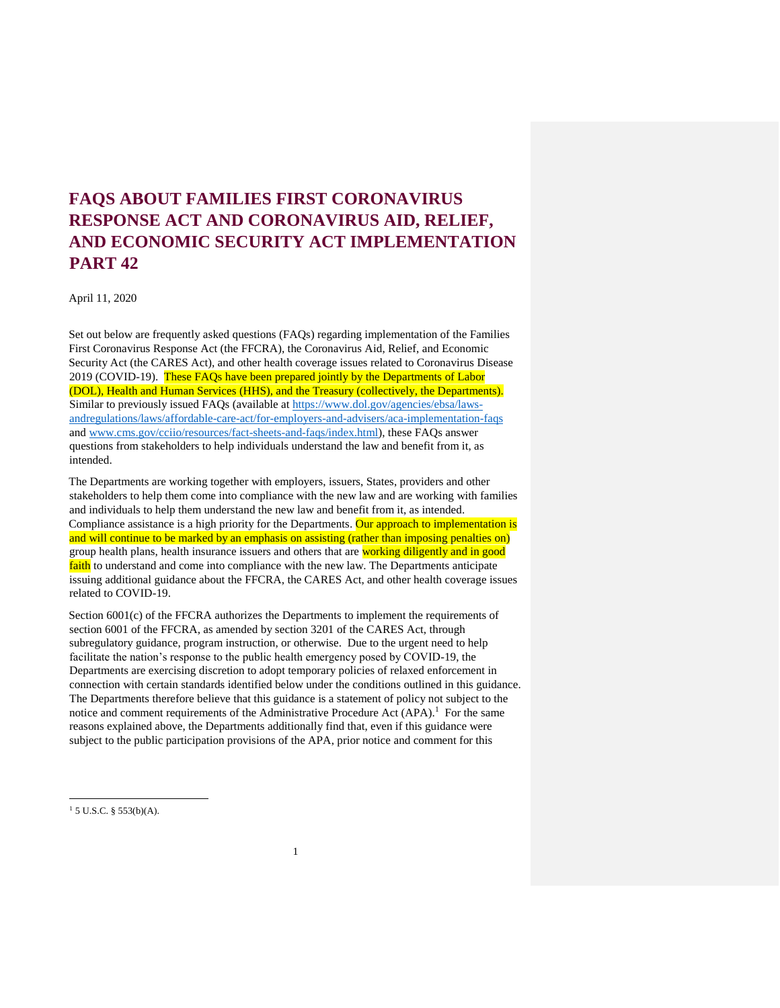# **FAQS ABOUT FAMILIES FIRST CORONAVIRUS RESPONSE ACT AND CORONAVIRUS AID, RELIEF, AND ECONOMIC SECURITY ACT IMPLEMENTATION PART 42**

April 11, 2020

Set out below are frequently asked questions (FAQs) regarding implementation of the Families First Coronavirus Response Act (the FFCRA), the Coronavirus Aid, Relief, and Economic Security Act (the CARES Act), and other health coverage issues related to Coronavirus Disease 2019 (COVID-19). These FAQs have been prepared jointly by the Departments of Labor (DOL), Health and Human Services (HHS), and the Treasury (collectively, the Departments). Similar to previously issued FAQs (available at [https://www.dol.gov/agencies/ebsa/laws](https://www.dol.gov/agencies/ebsa/laws-and-regulations/laws/affordable-care-act/for-employers-and-advisers/aca-implementation-faqs)[andregulations/laws/affordable-care-act/for-employers-and-advisers/aca-implementation-faqs](https://www.dol.gov/agencies/ebsa/laws-and-regulations/laws/affordable-care-act/for-employers-and-advisers/aca-implementation-faqs) and [www.cms.gov/cciio/resources/fact-sheets-and-faqs/index.html\),](http://www.cms.gov/cciio/resources/fact-sheets-and-faqs/index.html) these FAQs answer questions from stakeholders to help individuals understand the law and benefit from it, as intended.

The Departments are working together with employers, issuers, States, providers and other stakeholders to help them come into compliance with the new law and are working with families and individuals to help them understand the new law and benefit from it, as intended. Compliance assistance is a high priority for the Departments. Our approach to implementation is and will continue to be marked by an emphasis on assisting (rather than imposing penalties on) group health plans, health insurance issuers and others that are working diligently and in good faith to understand and come into compliance with the new law. The Departments anticipate issuing additional guidance about the FFCRA, the CARES Act, and other health coverage issues related to COVID-19.

Section 6001(c) of the FFCRA authorizes the Departments to implement the requirements of section 6001 of the FFCRA, as amended by section 3201 of the CARES Act, through subregulatory guidance, program instruction, or otherwise. Due to the urgent need to help facilitate the nation's response to the public health emergency posed by COVID-19, the Departments are exercising discretion to adopt temporary policies of relaxed enforcement in connection with certain standards identified below under the conditions outlined in this guidance. The Departments therefore believe that this guidance is a statement of policy not subject to the notice and comment requirements of the Administrative Procedure Act  $(APA)$ .<sup>1</sup> For the same reasons explained above, the Departments additionally find that, even if this guidance were subject to the public participation provisions of the APA, prior notice and comment for this

 $15$  U.S.C. § 553(b)(A).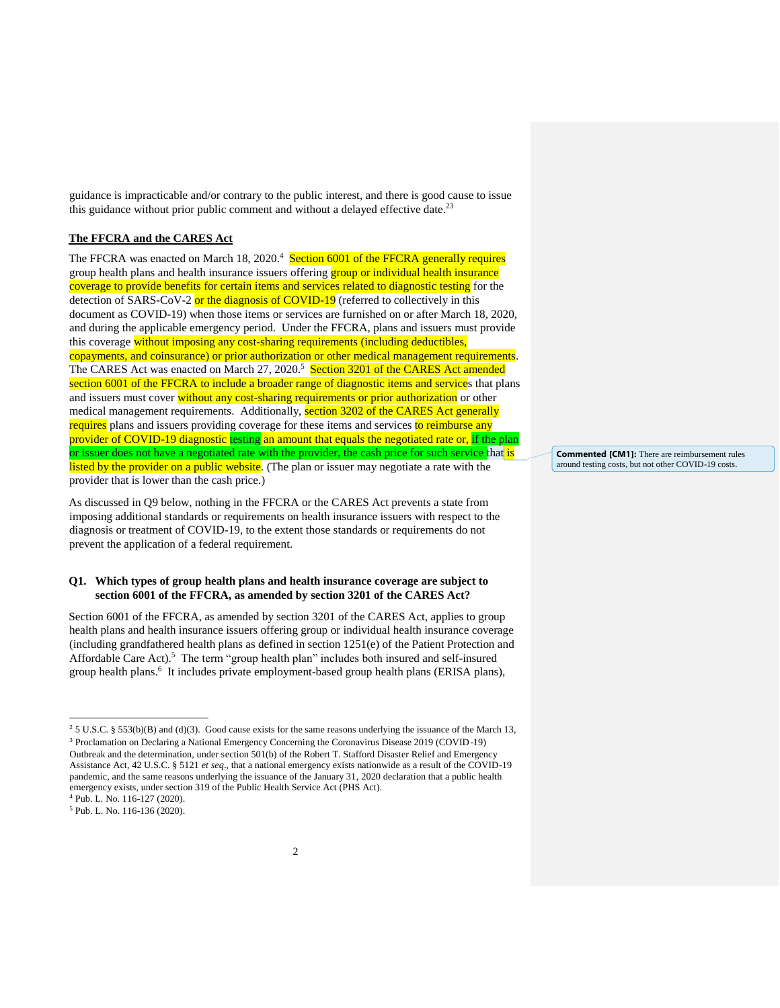guidance is impracticable and/or contrary to the public interest, and there is good cause to issue this guidance without prior public comment and without a delayed effective date.<sup>23</sup>

# **The FFCRA and the CARES Act**

The FFCRA was enacted on March 18, 2020.<sup>4</sup> Section 6001 of the FFCRA generally requires group health plans and health insurance issuers offering **group or individual health insurance** coverage to provide benefits for certain items and services related to diagnostic testing for the detection of SARS-CoV-2 or the diagnosis of COVID-19 (referred to collectively in this document as COVID-19) when those items or services are furnished on or after March 18, 2020, and during the applicable emergency period. Under the FFCRA, plans and issuers must provide this coverage without imposing any cost-sharing requirements (including deductibles, copayments, and coinsurance) or prior authorization or other medical management requirements. The CARES Act was enacted on March 27, 2020.<sup>5</sup> Section 3201 of the CARES Act amended section 6001 of the FFCRA to include a broader range of diagnostic items and services that plans and issuers must cover without any cost-sharing requirements or prior authorization or other medical management requirements. Additionally, section 3202 of the CARES Act generally requires plans and issuers providing coverage for these items and services to reimburse any provider of COVID-19 diagnostic testing an amount that equals the negotiated rate or, if the plan or issuer does not have a negotiated rate with the provider, the cash price for such service that is listed by the provider on a public website. (The plan or issuer may negotiate a rate with the provider that is lower than the cash price.)

As discussed in Q9 below, nothing in the FFCRA or the CARES Act prevents a state from imposing additional standards or requirements on health insurance issuers with respect to the diagnosis or treatment of COVID-19, to the extent those standards or requirements do not prevent the application of a federal requirement.

# **Q1. Which types of group health plans and health insurance coverage are subject to section 6001 of the FFCRA, as amended by section 3201 of the CARES Act?**

Section 6001 of the FFCRA, as amended by section 3201 of the CARES Act, applies to group health plans and health insurance issuers offering group or individual health insurance coverage (including grandfathered health plans as defined in section 1251(e) of the Patient Protection and Affordable Care Act).<sup>5</sup> The term "group health plan" includes both insured and self-insured group health plans.<sup>6</sup> It includes private employment-based group health plans (ERISA plans),

l

**Commented [CM1]:** There are reimbursement rules around testing costs, but not other COVID-19 costs.

<sup>&</sup>lt;sup>2</sup> 5 U.S.C. § 553(b)(B) and (d)(3). Good cause exists for the same reasons underlying the issuance of the March 13, <sup>3</sup> Proclamation on Declaring a National Emergency Concerning the Coronavirus Disease 2019 (COVID-19) Outbreak and the determination, under section 501(b) of the Robert T. Stafford Disaster Relief and Emergency Assistance Act, 42 U.S.C. § 5121 *et seq*., that a national emergency exists nationwide as a result of the COVID-19 pandemic, and the same reasons underlying the issuance of the January 31, 2020 declaration that a public health emergency exists, under section 319 of the Public Health Service Act (PHS Act).

<sup>4</sup> Pub. L. No. 116-127 (2020).

<sup>5</sup> Pub. L. No. 116-136 (2020).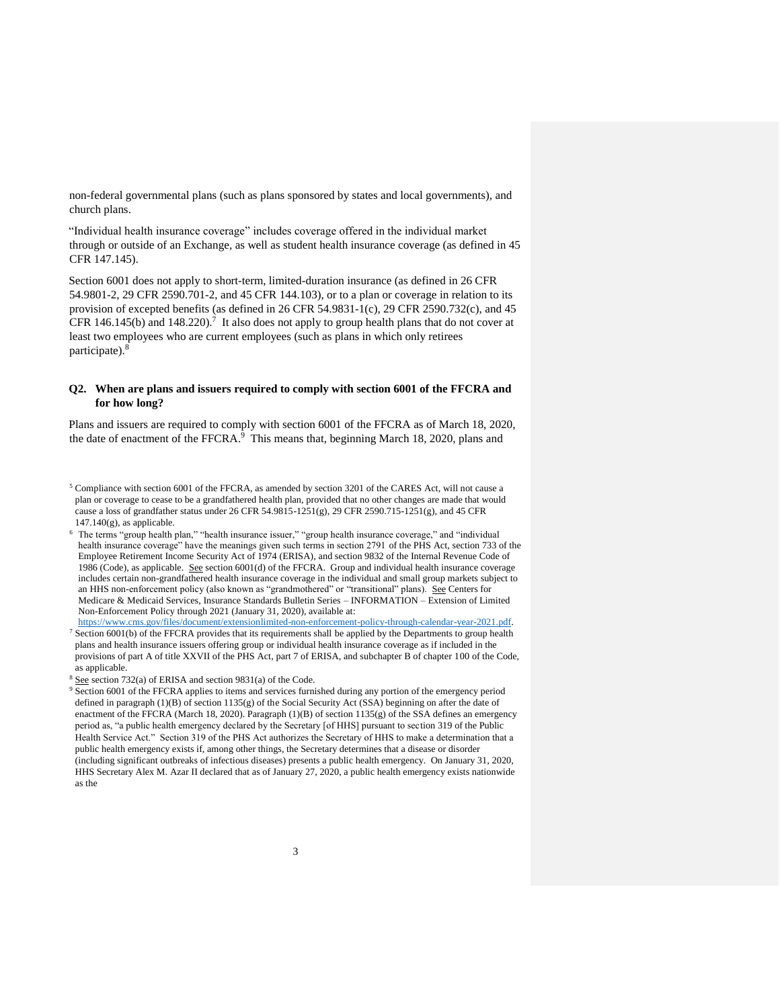non-federal governmental plans (such as plans sponsored by states and local governments), and church plans.

"Individual health insurance coverage" includes coverage offered in the individual market through or outside of an Exchange, as well as student health insurance coverage (as defined in 45 CFR 147.145).

Section 6001 does not apply to short-term, limited-duration insurance (as defined in 26 CFR 54.9801-2, 29 CFR 2590.701-2, and 45 CFR 144.103), or to a plan or coverage in relation to its provision of excepted benefits (as defined in 26 CFR 54.9831-1(c), 29 CFR 2590.732(c), and 45 CFR 146.145(b) and 148.220).<sup>7</sup> It also does not apply to group health plans that do not cover at least two employees who are current employees (such as plans in which only retirees participate).<sup>8</sup>

#### **Q2. When are plans and issuers required to comply with section 6001 of the FFCRA and for how long?**

Plans and issuers are required to comply with section 6001 of the FFCRA as of March 18, 2020, the date of enactment of the FFCRA.<sup>9</sup> This means that, beginning March 18, 2020, plans and

 $5$  Compliance with section 6001 of the FFCRA, as amended by section 3201 of the CARES Act, will not cause a plan or coverage to cease to be a grandfathered health plan, provided that no other changes are made that would cause a loss of grandfather status under 26 CFR 54.9815-1251(g), 29 CFR 2590.715-1251(g), and 45 CFR  $147.140(g)$ , as applicable.

 $6$  The terms "group health plan," "health insurance issuer," "group health insurance coverage," and "individual health insurance coverage" have the meanings given such terms in section 2791 of the PHS Act, section 733 of the Employee Retirement Income Security Act of 1974 (ERISA), and section 9832 of the Internal Revenue Code of 1986 (Code), as applicable. See section 6001(d) of the FFCRA. Group and individual health insurance coverage includes certain non-grandfathered health insurance coverage in the individual and small group markets subject to an HHS non-enforcement policy (also known as "grandmothered" or "transitional" plans). See Centers for Medicare & Medicaid Services, Insurance Standards Bulletin Series – INFORMATION – Extension of Limited Non-Enforcement Policy through 2021 (January 31, 2020), available at:

[https://www.cms.gov/files/document/extensionlimited-non-enforcement-policy-through-calendar-year-2021.pdf.](https://www.cms.gov/files/document/extension-limited-non-enforcement-policy-through-calendar-year-2021.pdf)  <sup>7</sup> Section 6001(b) of the FFCRA provides that its requirements shall be applied by the Departments to group health plans and health insurance issuers offering group or individual health insurance coverage as if included in the provisions of part A of title XXVII of the PHS Act, part 7 of ERISA, and subchapter B of chapter 100 of the Code, as applicable.

 $8$  See section 732(a) of ERISA and section 9831(a) of the Code.

<sup>&</sup>lt;sup>9</sup> Section 6001 of the FFCRA applies to items and services furnished during any portion of the emergency period defined in paragraph  $(1)(B)$  of section  $1135(g)$  of the Social Security Act (SSA) beginning on after the date of enactment of the FFCRA (March 18, 2020). Paragraph (1)(B) of section 1135(g) of the SSA defines an emergency period as, "a public health emergency declared by the Secretary [of HHS] pursuant to section 319 of the Public Health Service Act." Section 319 of the PHS Act authorizes the Secretary of HHS to make a determination that a public health emergency exists if, among other things, the Secretary determines that a disease or disorder (including significant outbreaks of infectious diseases) presents a public health emergency. On January 31, 2020, HHS Secretary Alex M. Azar II declared that as of January 27, 2020, a public health emergency exists nationwide as the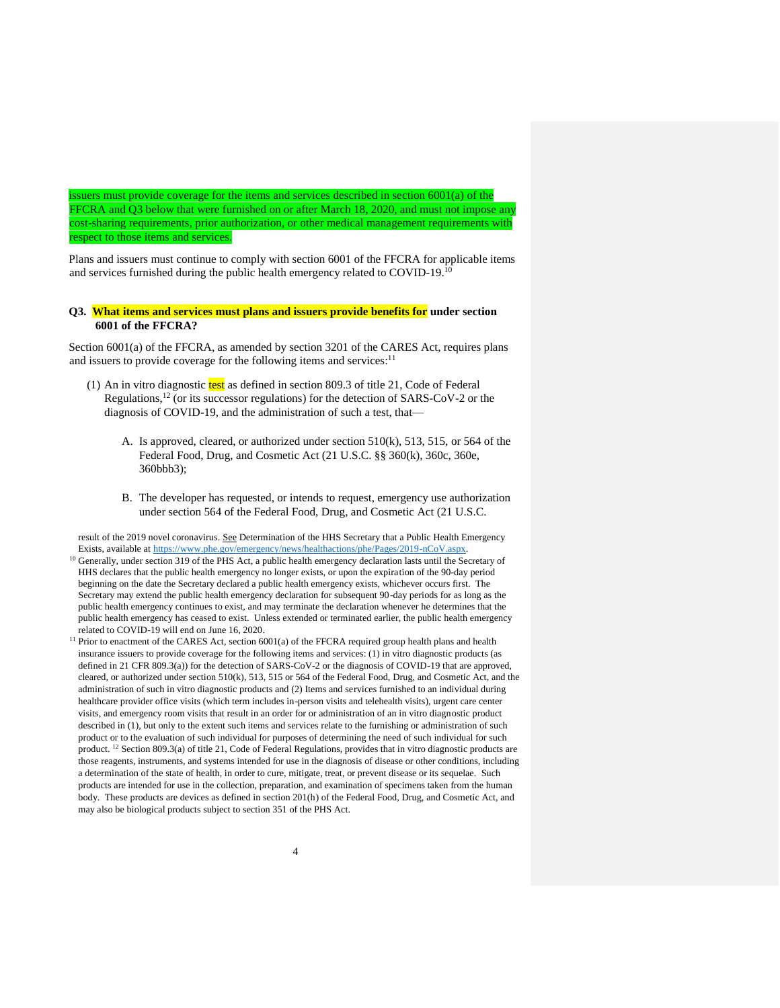issuers must provide coverage for the items and services described in section  $6001(a)$  of the FFCRA and Q3 below that were furnished on or after March 18, 2020, and must not impose any cost-sharing requirements, prior authorization, or other medical management requirements with respect to those items and services.

Plans and issuers must continue to comply with section 6001 of the FFCRA for applicable items and services furnished during the public health emergency related to COVID-19.<sup>10</sup>

#### **Q3. What items and services must plans and issuers provide benefits for under section 6001 of the FFCRA?**

Section 6001(a) of the FFCRA, as amended by section 3201 of the CARES Act, requires plans and issuers to provide coverage for the following items and services: $11$ 

- (1) An in vitro diagnostic  $test$  as defined in section 809.3 of title 21, Code of Federal Regulations,<sup>12</sup> (or its successor regulations) for the detection of SARS-CoV-2 or the diagnosis of COVID-19, and the administration of such a test, that—
	- A. Is approved, cleared, or authorized under section 510(k), 513, 515, or 564 of the Federal Food, Drug, and Cosmetic Act (21 U.S.C. §§ 360(k), 360c, 360e, 360bbb3);
	- B. The developer has requested, or intends to request, emergency use authorization under section 564 of the Federal Food, Drug, and Cosmetic Act (21 U.S.C.

result of the 2019 novel coronavirus. See Determination of the HHS Secretary that a Public Health Emergency Exists, available at [https://www.phe.gov/emergency/news/healthactions/phe/Pages/2019-nCoV.aspx.](https://www.phe.gov/emergency/news/healthactions/phe/Pages/2019-nCoV.aspx)

- <sup>10</sup> Generally, under section 319 of the PHS Act, a public health emergency declaration lasts until the Secretary of HHS declares that the public health emergency no longer exists, or upon the expiration of the 90-day period beginning on the date the Secretary declared a public health emergency exists, whichever occurs first. The Secretary may extend the public health emergency declaration for subsequent 90-day periods for as long as the public health emergency continues to exist, and may terminate the declaration whenever he determines that the public health emergency has ceased to exist. Unless extended or terminated earlier, the public health emergency related to COVID-19 will end on June 16, 2020.
- <sup>11</sup> Prior to enactment of the CARES Act, section 6001(a) of the FFCRA required group health plans and health insurance issuers to provide coverage for the following items and services: (1) in vitro diagnostic products (as defined in 21 CFR 809.3(a)) for the detection of SARS-CoV-2 or the diagnosis of COVID-19 that are approved, cleared, or authorized under section 510(k), 513, 515 or 564 of the Federal Food, Drug, and Cosmetic Act, and the administration of such in vitro diagnostic products and (2) Items and services furnished to an individual during healthcare provider office visits (which term includes in-person visits and telehealth visits), urgent care center visits, and emergency room visits that result in an order for or administration of an in vitro diagnostic product described in (1), but only to the extent such items and services relate to the furnishing or administration of such product or to the evaluation of such individual for purposes of determining the need of such individual for such product. <sup>12</sup> Section 809.3(a) of title 21, Code of Federal Regulations, provides that in vitro diagnostic products are those reagents, instruments, and systems intended for use in the diagnosis of disease or other conditions, including a determination of the state of health, in order to cure, mitigate, treat, or prevent disease or its sequelae. Such products are intended for use in the collection, preparation, and examination of specimens taken from the human body. These products are devices as defined in section 201(h) of the Federal Food, Drug, and Cosmetic Act, and may also be biological products subject to section 351 of the PHS Act.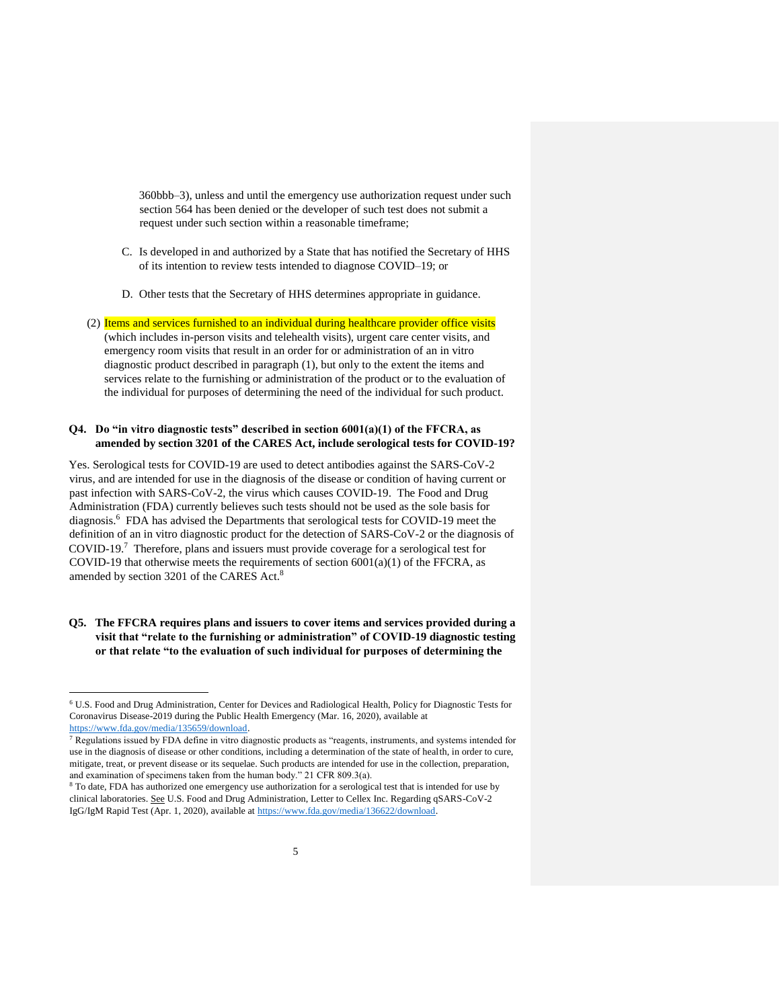360bbb–3), unless and until the emergency use authorization request under such section 564 has been denied or the developer of such test does not submit a request under such section within a reasonable timeframe;

- C. Is developed in and authorized by a State that has notified the Secretary of HHS of its intention to review tests intended to diagnose COVID–19; or
- D. Other tests that the Secretary of HHS determines appropriate in guidance.

(2) Items and services furnished to an individual during healthcare provider office visits (which includes in-person visits and telehealth visits), urgent care center visits, and emergency room visits that result in an order for or administration of an in vitro diagnostic product described in paragraph (1), but only to the extent the items and services relate to the furnishing or administration of the product or to the evaluation of the individual for purposes of determining the need of the individual for such product.

#### **Q4. Do "in vitro diagnostic tests" described in section 6001(a)(1) of the FFCRA, as amended by section 3201 of the CARES Act, include serological tests for COVID-19?**

Yes. Serological tests for COVID-19 are used to detect antibodies against the SARS-CoV-2 virus, and are intended for use in the diagnosis of the disease or condition of having current or past infection with SARS-CoV-2, the virus which causes COVID-19. The Food and Drug Administration (FDA) currently believes such tests should not be used as the sole basis for diagnosis.<sup>6</sup> FDA has advised the Departments that serological tests for COVID-19 meet the definition of an in vitro diagnostic product for the detection of SARS-CoV-2 or the diagnosis of COVID-19.<sup>7</sup> Therefore, plans and issuers must provide coverage for a serological test for COVID-19 that otherwise meets the requirements of section  $6001(a)(1)$  of the FFCRA, as amended by section 3201 of the CARES Act.<sup>8</sup>

# **Q5. The FFCRA requires plans and issuers to cover items and services provided during a visit that "relate to the furnishing or administration" of COVID-19 diagnostic testing or that relate "to the evaluation of such individual for purposes of determining the**

<sup>6</sup> U.S. Food and Drug Administration, Center for Devices and Radiological Health, Policy for Diagnostic Tests for Coronavirus Disease-2019 during the Public Health Emergency (Mar. 16, 2020), available at [https://www.fda.gov/media/135659/download.](https://www.fda.gov/media/135659/download)

 $^7$  Regulations issued by FDA define in vitro diagnostic products as "reagents, instruments, and systems intended for use in the diagnosis of disease or other conditions, including a determination of the state of health, in order to cure, mitigate, treat, or prevent disease or its sequelae. Such products are intended for use in the collection, preparation, and examination of specimens taken from the human body." 21 CFR 809.3(a).

<sup>&</sup>lt;sup>8</sup> To date, FDA has authorized one emergency use authorization for a serological test that is intended for use by clinical laboratories. See U.S. Food and Drug Administration, Letter to Cellex Inc. Regarding qSARS-CoV-2 IgG/IgM Rapid Test (Apr. 1, 2020), available at [https://www.fda.gov/media/136622/download.](https://www.fda.gov/media/136622/download)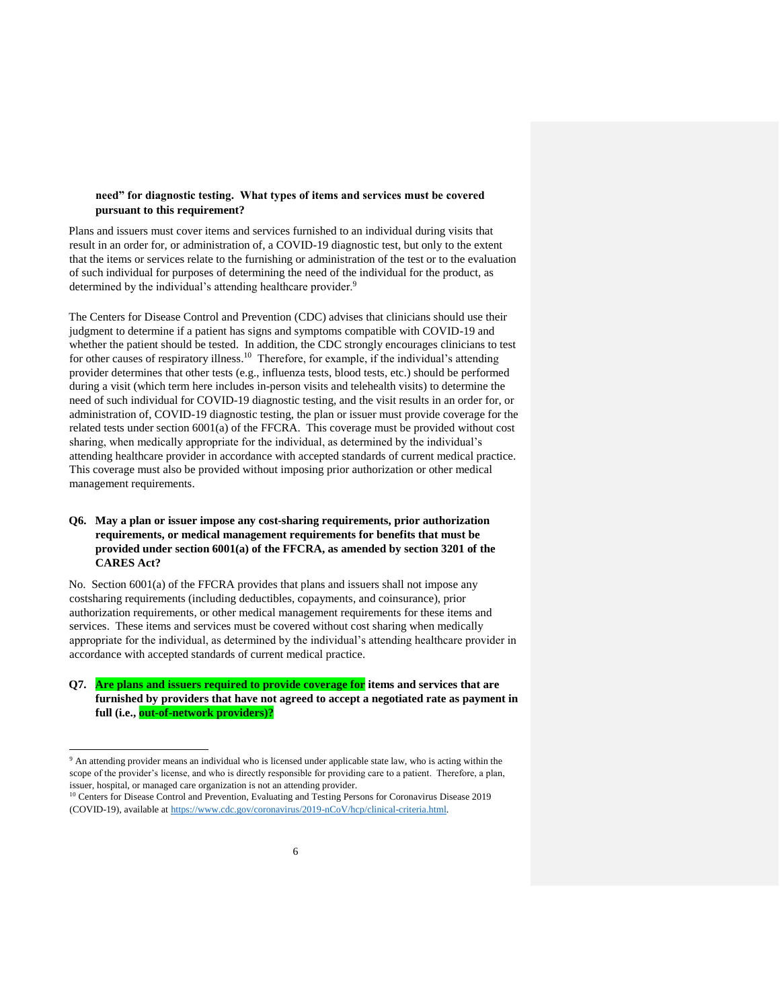# **need" for diagnostic testing. What types of items and services must be covered pursuant to this requirement?**

Plans and issuers must cover items and services furnished to an individual during visits that result in an order for, or administration of, a COVID-19 diagnostic test, but only to the extent that the items or services relate to the furnishing or administration of the test or to the evaluation of such individual for purposes of determining the need of the individual for the product, as determined by the individual's attending healthcare provider.<sup>9</sup>

The Centers for Disease Control and Prevention (CDC) advises that clinicians should use their judgment to determine if a patient has signs and symptoms compatible with COVID-19 and whether the patient should be tested. In addition, the CDC strongly encourages clinicians to test for other causes of respiratory illness.<sup>10</sup> Therefore, for example, if the individual's attending provider determines that other tests (e.g., influenza tests, blood tests, etc.) should be performed during a visit (which term here includes in-person visits and telehealth visits) to determine the need of such individual for COVID-19 diagnostic testing, and the visit results in an order for, or administration of, COVID-19 diagnostic testing, the plan or issuer must provide coverage for the related tests under section 6001(a) of the FFCRA. This coverage must be provided without cost sharing, when medically appropriate for the individual, as determined by the individual's attending healthcare provider in accordance with accepted standards of current medical practice. This coverage must also be provided without imposing prior authorization or other medical management requirements.

# **Q6. May a plan or issuer impose any cost-sharing requirements, prior authorization requirements, or medical management requirements for benefits that must be provided under section 6001(a) of the FFCRA, as amended by section 3201 of the CARES Act?**

No. Section 6001(a) of the FFCRA provides that plans and issuers shall not impose any costsharing requirements (including deductibles, copayments, and coinsurance), prior authorization requirements, or other medical management requirements for these items and services. These items and services must be covered without cost sharing when medically appropriate for the individual, as determined by the individual's attending healthcare provider in accordance with accepted standards of current medical practice.

**Q7. Are plans and issuers required to provide coverage for items and services that are furnished by providers that have not agreed to accept a negotiated rate as payment in full (i.e., out-of-network providers)?**

<sup>&</sup>lt;sup>9</sup> An attending provider means an individual who is licensed under applicable state law, who is acting within the scope of the provider's license, and who is directly responsible for providing care to a patient. Therefore, a plan, issuer, hospital, or managed care organization is not an attending provider.

<sup>10</sup> Centers for Disease Control and Prevention, Evaluating and Testing Persons for Coronavirus Disease 2019 (COVID-19), available at [https://www.cdc.gov/coronavirus/2019-nCoV/hcp/clinical-criteria.html.](https://www.cdc.gov/coronavirus/2019-nCoV/hcp/clinical-criteria.html)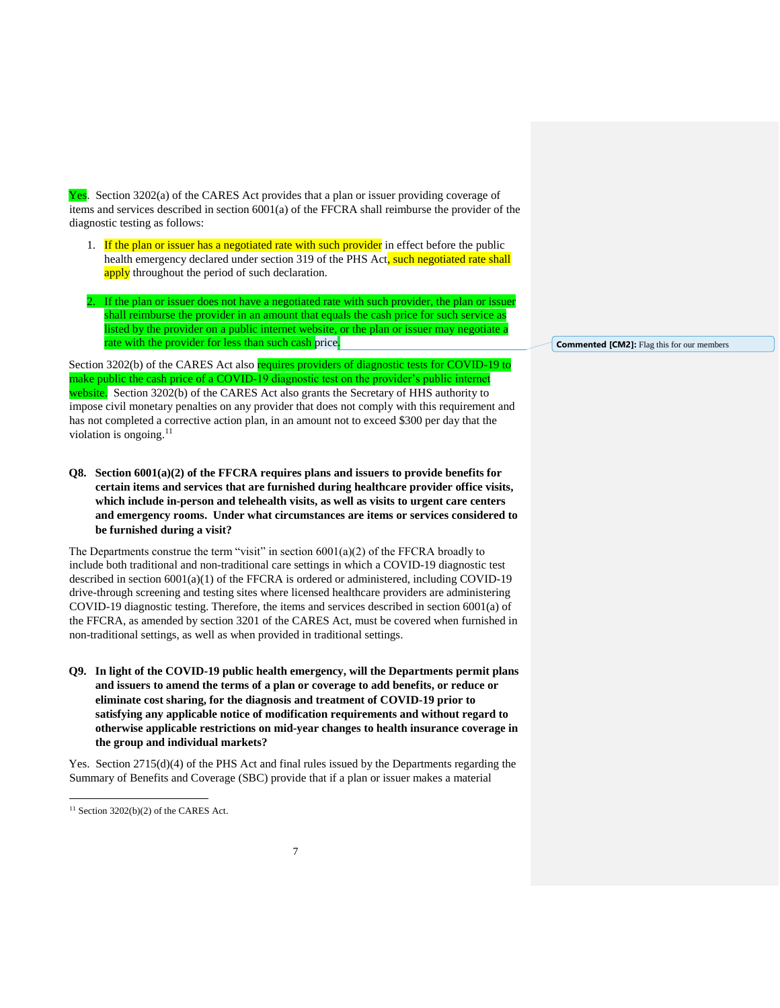Yes. Section 3202(a) of the CARES Act provides that a plan or issuer providing coverage of items and services described in section 6001(a) of the FFCRA shall reimburse the provider of the diagnostic testing as follows:

- 1. If the plan or issuer has a negotiated rate with such provider in effect before the public health emergency declared under section 319 of the PHS Act, such negotiated rate shall apply throughout the period of such declaration.
- 2. If the plan or issuer does not have a negotiated rate with such provider, the plan or issuer shall reimburse the provider in an amount that equals the cash price for such service as listed by the provider on a public internet website, or the plan or issuer may negotiate a rate with the provider for less than such cash price.

Section 3202(b) of the CARES Act also requires providers of diagnostic tests for COVID-19 to make public the cash price of a COVID-19 diagnostic test on the provider's public internet website. Section 3202(b) of the CARES Act also grants the Secretary of HHS authority to impose civil monetary penalties on any provider that does not comply with this requirement and has not completed a corrective action plan, in an amount not to exceed \$300 per day that the violation is ongoing. $11$ 

**Q8. Section 6001(a)(2) of the FFCRA requires plans and issuers to provide benefits for certain items and services that are furnished during healthcare provider office visits, which include in-person and telehealth visits, as well as visits to urgent care centers and emergency rooms. Under what circumstances are items or services considered to be furnished during a visit?** 

The Departments construe the term "visit" in section  $6001(a)(2)$  of the FFCRA broadly to include both traditional and non-traditional care settings in which a COVID-19 diagnostic test described in section  $6001(a)(1)$  of the FFCRA is ordered or administered, including COVID-19 drive-through screening and testing sites where licensed healthcare providers are administering COVID-19 diagnostic testing. Therefore, the items and services described in section 6001(a) of the FFCRA, as amended by section 3201 of the CARES Act, must be covered when furnished in non-traditional settings, as well as when provided in traditional settings.

**Q9. In light of the COVID-19 public health emergency, will the Departments permit plans and issuers to amend the terms of a plan or coverage to add benefits, or reduce or eliminate cost sharing, for the diagnosis and treatment of COVID-19 prior to satisfying any applicable notice of modification requirements and without regard to otherwise applicable restrictions on mid-year changes to health insurance coverage in the group and individual markets?** 

Yes. Section 2715(d)(4) of the PHS Act and final rules issued by the Departments regarding the Summary of Benefits and Coverage (SBC) provide that if a plan or issuer makes a material

 $\overline{a}$ 

**Commented [CM2]:** Flag this for our members

 $11$  Section 3202(b)(2) of the CARES Act.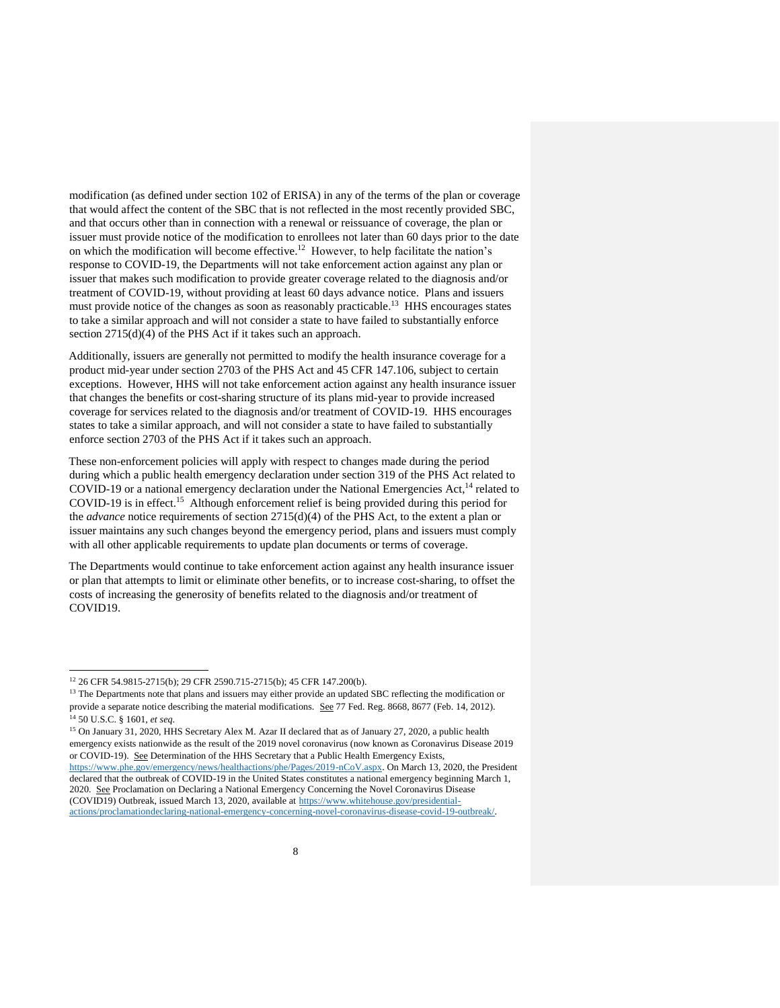modification (as defined under section 102 of ERISA) in any of the terms of the plan or coverage that would affect the content of the SBC that is not reflected in the most recently provided SBC, and that occurs other than in connection with a renewal or reissuance of coverage, the plan or issuer must provide notice of the modification to enrollees not later than 60 days prior to the date on which the modification will become effective.<sup>12</sup> However, to help facilitate the nation's response to COVID-19, the Departments will not take enforcement action against any plan or issuer that makes such modification to provide greater coverage related to the diagnosis and/or treatment of COVID-19, without providing at least 60 days advance notice. Plans and issuers must provide notice of the changes as soon as reasonably practicable.<sup>13</sup> HHS encourages states to take a similar approach and will not consider a state to have failed to substantially enforce section 2715(d)(4) of the PHS Act if it takes such an approach.

Additionally, issuers are generally not permitted to modify the health insurance coverage for a product mid-year under section 2703 of the PHS Act and 45 CFR 147.106, subject to certain exceptions. However, HHS will not take enforcement action against any health insurance issuer that changes the benefits or cost-sharing structure of its plans mid-year to provide increased coverage for services related to the diagnosis and/or treatment of COVID-19. HHS encourages states to take a similar approach, and will not consider a state to have failed to substantially enforce section 2703 of the PHS Act if it takes such an approach.

These non-enforcement policies will apply with respect to changes made during the period during which a public health emergency declaration under section 319 of the PHS Act related to COVID-19 or a national emergency declaration under the National Emergencies Act,<sup>14</sup> related to COVID-19 is in effect.<sup>15</sup> Although enforcement relief is being provided during this period for the *advance* notice requirements of section 2715(d)(4) of the PHS Act, to the extent a plan or issuer maintains any such changes beyond the emergency period, plans and issuers must comply with all other applicable requirements to update plan documents or terms of coverage.

The Departments would continue to take enforcement action against any health insurance issuer or plan that attempts to limit or eliminate other benefits, or to increase cost-sharing, to offset the costs of increasing the generosity of benefits related to the diagnosis and/or treatment of COVID19.

 $\overline{a}$ 

<sup>15</sup> On January 31, 2020, HHS Secretary Alex M. Azar II declared that as of January 27, 2020, a public health emergency exists nationwide as the result of the 2019 novel coronavirus (now known as Coronavirus Disease 2019 or COVID-19). See Determination of the HHS Secretary that a Public Health Emergency Exists, [https://www.phe.gov/emergency/news/healthactions/phe/Pages/2019-nCoV.aspx.](https://www.phe.gov/emergency/news/healthactions/phe/Pages/2019-nCoV.aspx) On March 13, 2020, the President declared that the outbreak of COVID-19 in the United States constitutes a national emergency beginning March 1, 2020. See Proclamation on Declaring a National Emergency Concerning the Novel Coronavirus Disease (COVID19) Outbreak, issued March 13, 2020, available at [https://www.whitehouse.gov/presidential](https://www.whitehouse.gov/presidential-actions/proclamation-declaring-national-emergency-concerning-novel-coronavirus-disease-covid-19-outbreak/)[actions/proclamationdeclaring-national-emergency-concerning-novel-coronavirus-disease-covid-19-outbreak/.](https://www.whitehouse.gov/presidential-actions/proclamation-declaring-national-emergency-concerning-novel-coronavirus-disease-covid-19-outbreak/)

<sup>12</sup> 26 CFR 54.9815-2715(b); 29 CFR 2590.715-2715(b); 45 CFR 147.200(b).

<sup>&</sup>lt;sup>13</sup> The Departments note that plans and issuers may either provide an updated SBC reflecting the modification or provide a separate notice describing the material modifications. See 77 Fed. Reg. 8668, 8677 (Feb. 14, 2012). <sup>14</sup> 50 U.S.C. § 1601, *et seq.*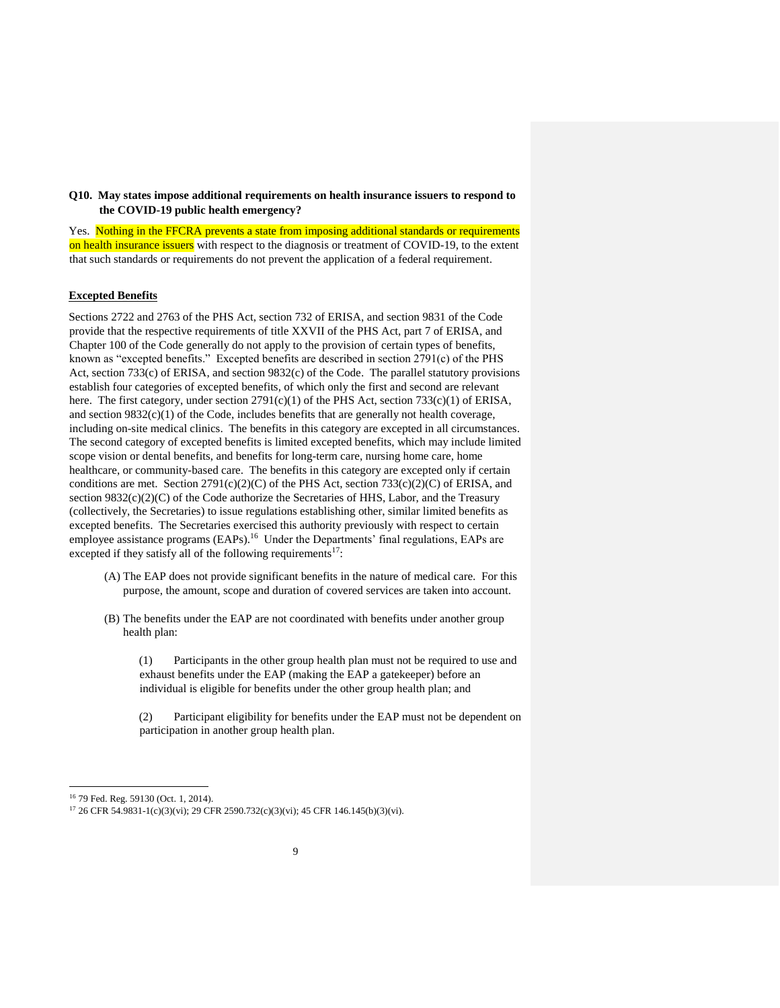**Q10. May states impose additional requirements on health insurance issuers to respond to the COVID-19 public health emergency?**

Yes. Nothing in the FFCRA prevents a state from imposing additional standards or requirements on health insurance issuers with respect to the diagnosis or treatment of COVID-19, to the extent that such standards or requirements do not prevent the application of a federal requirement.

#### **Excepted Benefits**

Sections 2722 and 2763 of the PHS Act, section 732 of ERISA, and section 9831 of the Code provide that the respective requirements of title XXVII of the PHS Act, part 7 of ERISA, and Chapter 100 of the Code generally do not apply to the provision of certain types of benefits, known as "excepted benefits." Excepted benefits are described in section 2791(c) of the PHS Act, section 733(c) of ERISA, and section 9832(c) of the Code. The parallel statutory provisions establish four categories of excepted benefits, of which only the first and second are relevant here. The first category, under section  $2791(c)(1)$  of the PHS Act, section  $733(c)(1)$  of ERISA, and section 9832(c)(1) of the Code, includes benefits that are generally not health coverage, including on-site medical clinics. The benefits in this category are excepted in all circumstances. The second category of excepted benefits is limited excepted benefits, which may include limited scope vision or dental benefits, and benefits for long-term care, nursing home care, home healthcare, or community-based care. The benefits in this category are excepted only if certain conditions are met. Section 2791(c)(2)(C) of the PHS Act, section 733(c)(2)(C) of ERISA, and section 9832(c)(2)(C) of the Code authorize the Secretaries of HHS, Labor, and the Treasury (collectively, the Secretaries) to issue regulations establishing other, similar limited benefits as excepted benefits. The Secretaries exercised this authority previously with respect to certain employee assistance programs (EAPs).<sup>16</sup> Under the Departments' final regulations, EAPs are excepted if they satisfy all of the following requirements<sup>17</sup>:

- (A) The EAP does not provide significant benefits in the nature of medical care. For this purpose, the amount, scope and duration of covered services are taken into account.
- (B) The benefits under the EAP are not coordinated with benefits under another group health plan:

(1) Participants in the other group health plan must not be required to use and exhaust benefits under the EAP (making the EAP a gatekeeper) before an individual is eligible for benefits under the other group health plan; and

(2) Participant eligibility for benefits under the EAP must not be dependent on participation in another group health plan.

<sup>16</sup> 79 Fed. Reg. 59130 (Oct. 1, 2014).

<sup>17</sup> 26 CFR 54.9831-1(c)(3)(vi); 29 CFR 2590.732(c)(3)(vi); 45 CFR 146.145(b)(3)(vi).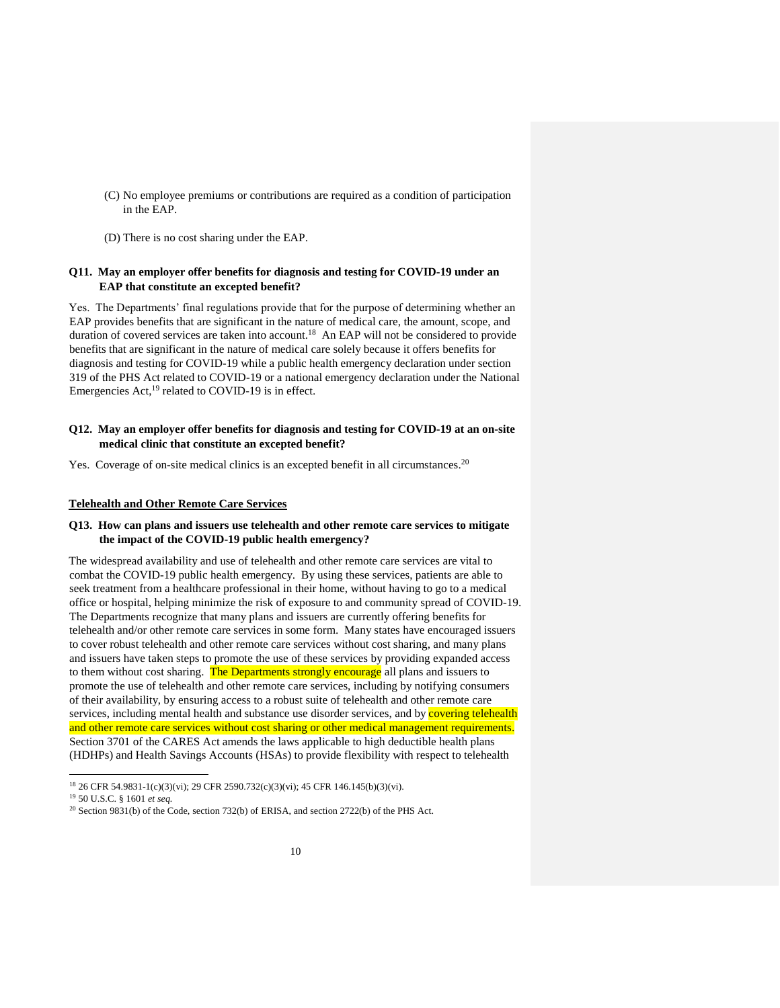- (C) No employee premiums or contributions are required as a condition of participation in the EAP.
- (D) There is no cost sharing under the EAP.

# **Q11. May an employer offer benefits for diagnosis and testing for COVID-19 under an EAP that constitute an excepted benefit?**

Yes. The Departments' final regulations provide that for the purpose of determining whether an EAP provides benefits that are significant in the nature of medical care, the amount, scope, and duration of covered services are taken into account.<sup>18</sup> An EAP will not be considered to provide benefits that are significant in the nature of medical care solely because it offers benefits for diagnosis and testing for COVID-19 while a public health emergency declaration under section 319 of the PHS Act related to COVID-19 or a national emergency declaration under the National Emergencies Act,<sup>19</sup> related to COVID-19 is in effect.

#### **Q12. May an employer offer benefits for diagnosis and testing for COVID-19 at an on-site medical clinic that constitute an excepted benefit?**

Yes. Coverage of on-site medical clinics is an excepted benefit in all circumstances.<sup>20</sup>

#### **Telehealth and Other Remote Care Services**

# **Q13. How can plans and issuers use telehealth and other remote care services to mitigate the impact of the COVID-19 public health emergency?**

The widespread availability and use of telehealth and other remote care services are vital to combat the COVID-19 public health emergency. By using these services, patients are able to seek treatment from a healthcare professional in their home, without having to go to a medical office or hospital, helping minimize the risk of exposure to and community spread of COVID-19. The Departments recognize that many plans and issuers are currently offering benefits for telehealth and/or other remote care services in some form. Many states have encouraged issuers to cover robust telehealth and other remote care services without cost sharing, and many plans and issuers have taken steps to promote the use of these services by providing expanded access to them without cost sharing. The Departments strongly encourage all plans and issuers to promote the use of telehealth and other remote care services, including by notifying consumers of their availability, by ensuring access to a robust suite of telehealth and other remote care services, including mental health and substance use disorder services, and by **covering telehealth** and other remote care services without cost sharing or other medical management requirements. Section 3701 of the CARES Act amends the laws applicable to high deductible health plans (HDHPs) and Health Savings Accounts (HSAs) to provide flexibility with respect to telehealth

<sup>18</sup> 26 CFR 54.9831-1(c)(3)(vi); 29 CFR 2590.732(c)(3)(vi); 45 CFR 146.145(b)(3)(vi).

<sup>19</sup> 50 U.S.C. § 1601 *et seq.*

<sup>20</sup> Section 9831(b) of the Code, section 732(b) of ERISA, and section 2722(b) of the PHS Act.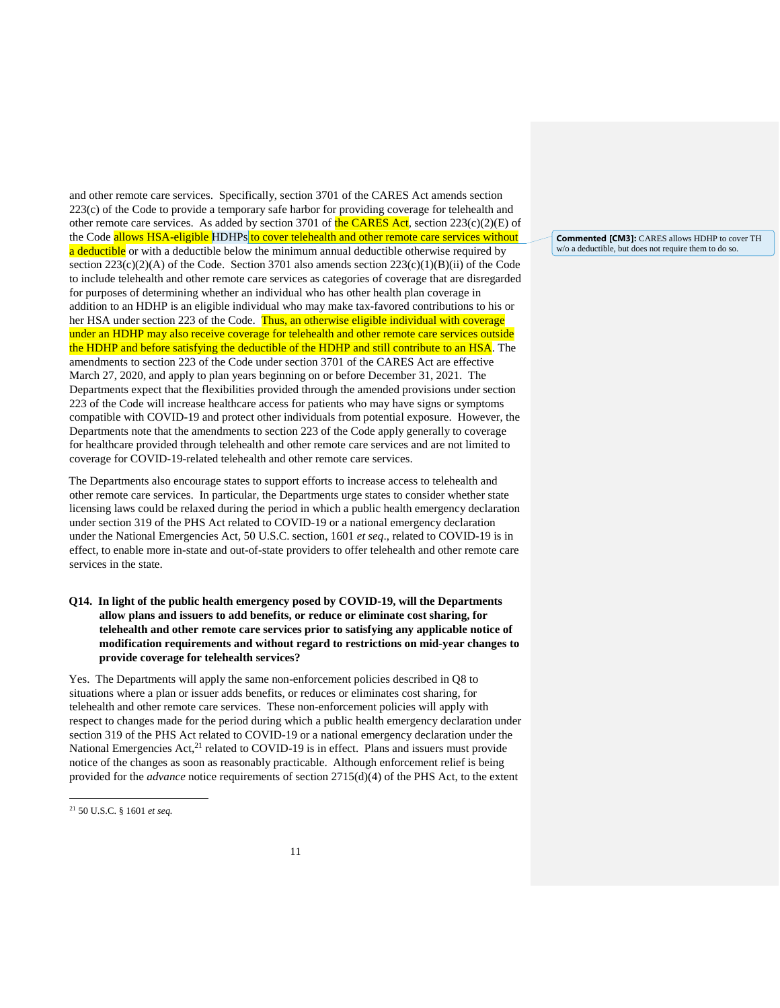and other remote care services. Specifically, section 3701 of the CARES Act amends section 223(c) of the Code to provide a temporary safe harbor for providing coverage for telehealth and other remote care services. As added by section 3701 of the CARES Act, section  $223(c)(2)(E)$  of the Code allows HSA-eligible HDHPs to cover telehealth and other remote care services without a deductible or with a deductible below the minimum annual deductible otherwise required by section  $223(c)(2)(A)$  of the Code. Section 3701 also amends section  $223(c)(1)(B)(ii)$  of the Code to include telehealth and other remote care services as categories of coverage that are disregarded for purposes of determining whether an individual who has other health plan coverage in addition to an HDHP is an eligible individual who may make tax-favored contributions to his or her HSA under section 223 of the Code. Thus, an otherwise eligible individual with coverage under an HDHP may also receive coverage for telehealth and other remote care services outside the HDHP and before satisfying the deductible of the HDHP and still contribute to an HSA. The amendments to section 223 of the Code under section 3701 of the CARES Act are effective March 27, 2020, and apply to plan years beginning on or before December 31, 2021. The Departments expect that the flexibilities provided through the amended provisions under section 223 of the Code will increase healthcare access for patients who may have signs or symptoms compatible with COVID-19 and protect other individuals from potential exposure. However, the Departments note that the amendments to section 223 of the Code apply generally to coverage for healthcare provided through telehealth and other remote care services and are not limited to coverage for COVID-19-related telehealth and other remote care services.

The Departments also encourage states to support efforts to increase access to telehealth and other remote care services. In particular, the Departments urge states to consider whether state licensing laws could be relaxed during the period in which a public health emergency declaration under section 319 of the PHS Act related to COVID-19 or a national emergency declaration under the National Emergencies Act, 50 U.S.C. section, 1601 *et seq*., related to COVID-19 is in effect, to enable more in-state and out-of-state providers to offer telehealth and other remote care services in the state.

**Q14. In light of the public health emergency posed by COVID-19, will the Departments allow plans and issuers to add benefits, or reduce or eliminate cost sharing, for telehealth and other remote care services prior to satisfying any applicable notice of modification requirements and without regard to restrictions on mid-year changes to provide coverage for telehealth services?** 

Yes. The Departments will apply the same non-enforcement policies described in Q8 to situations where a plan or issuer adds benefits, or reduces or eliminates cost sharing, for telehealth and other remote care services. These non-enforcement policies will apply with respect to changes made for the period during which a public health emergency declaration under section 319 of the PHS Act related to COVID-19 or a national emergency declaration under the National Emergencies  $Act<sub>1</sub><sup>21</sup>$  related to COVID-19 is in effect. Plans and issuers must provide notice of the changes as soon as reasonably practicable. Although enforcement relief is being provided for the *advance* notice requirements of section 2715(d)(4) of the PHS Act, to the extent

 $\overline{a}$ 

**Commented [CM3]:** CARES allows HDHP to cover TH w/o a deductible, but does not require them to do so.

<sup>21</sup> 50 U.S.C. § 1601 *et seq.*